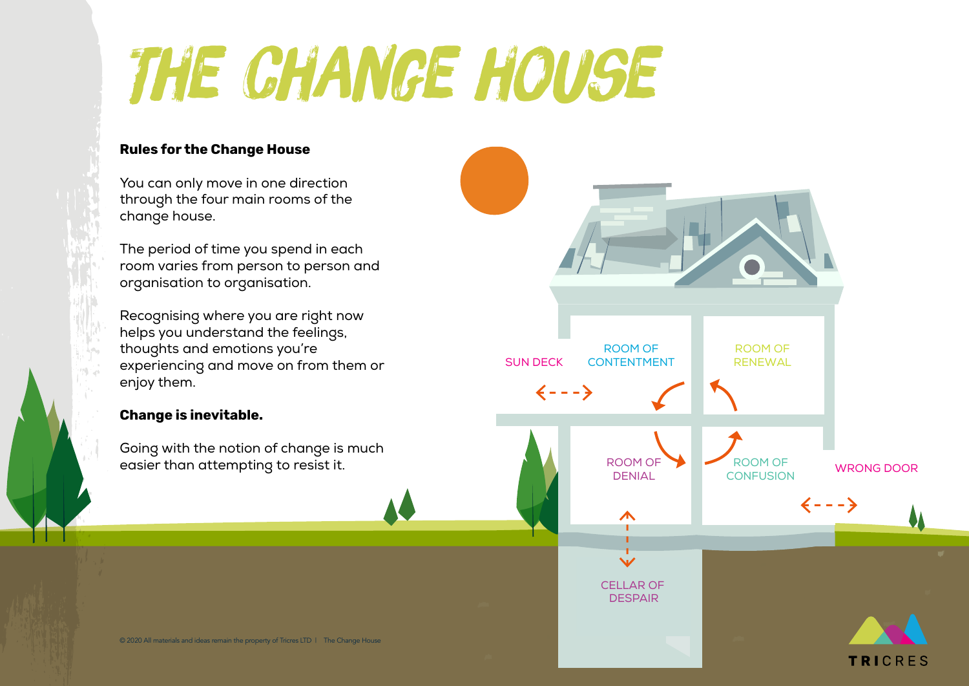# The change house

### **Rules for the Change House**

You can only move in one direction through the four main rooms of the change house.

The period of time you spend in each room varies from person to person and organisation to organisation.

Recognising where you are right now helps you understand the feelings, thoughts and emotions you're experiencing and move on from them or enjoy them.

### **Change is inevitable.**

Going with the notion of change is much easier than attempting to resist it.

ROOM OF ROOM OF **RENEWAL** SUN DECK CONTENTMENT  $\leftarrow - - \rightarrow$ ROOM OF ROOM OF WRONG DOOR DENIAL **CONFUSION**  $\leftarrow - - \rightarrow$  $\Lambda$  $\checkmark$ CELLAR OF **DESPAIR** 

**TRICRES**